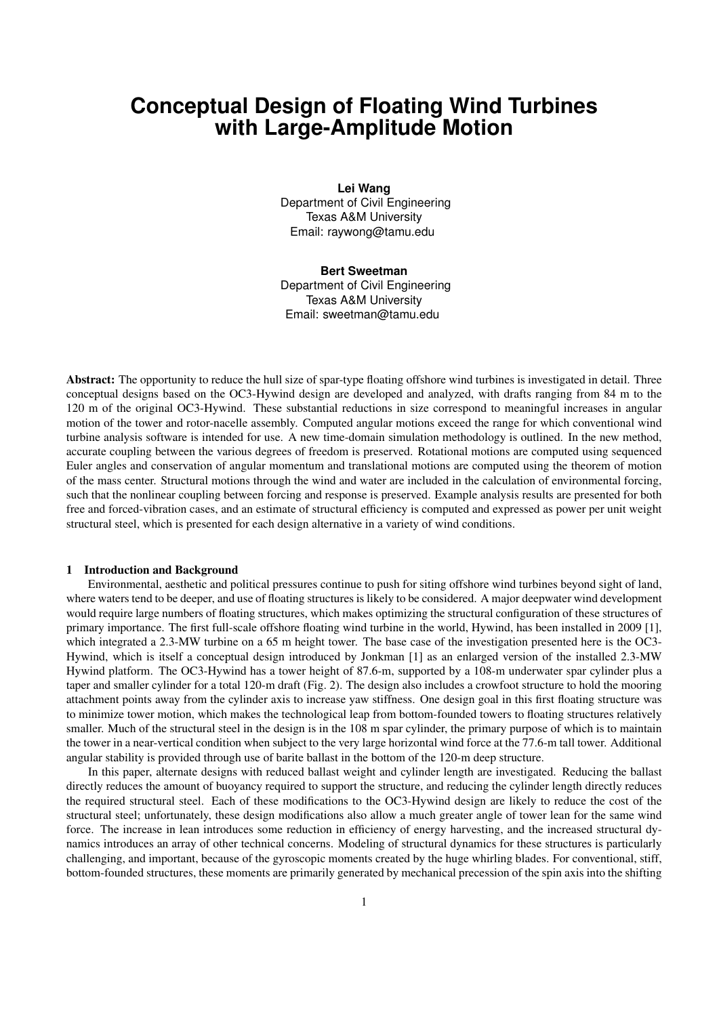# **Conceptual Design of Floating Wind Turbines with Large-Amplitude Motion**

**Lei Wang** Department of Civil Engineering Texas A&M University Email: raywong@tamu.edu

**Bert Sweetman** Department of Civil Engineering Texas A&M University Email: sweetman@tamu.edu

Abstract: The opportunity to reduce the hull size of spar-type floating offshore wind turbines is investigated in detail. Three conceptual designs based on the OC3-Hywind design are developed and analyzed, with drafts ranging from 84 m to the 120 m of the original OC3-Hywind. These substantial reductions in size correspond to meaningful increases in angular motion of the tower and rotor-nacelle assembly. Computed angular motions exceed the range for which conventional wind turbine analysis software is intended for use. A new time-domain simulation methodology is outlined. In the new method, accurate coupling between the various degrees of freedom is preserved. Rotational motions are computed using sequenced Euler angles and conservation of angular momentum and translational motions are computed using the theorem of motion of the mass center. Structural motions through the wind and water are included in the calculation of environmental forcing, such that the nonlinear coupling between forcing and response is preserved. Example analysis results are presented for both free and forced-vibration cases, and an estimate of structural efficiency is computed and expressed as power per unit weight structural steel, which is presented for each design alternative in a variety of wind conditions.

#### 1 Introduction and Background

Environmental, aesthetic and political pressures continue to push for siting offshore wind turbines beyond sight of land, where waters tend to be deeper, and use of floating structures is likely to be considered. A major deepwater wind development would require large numbers of floating structures, which makes optimizing the structural configuration of these structures of primary importance. The first full-scale offshore floating wind turbine in the world, Hywind, has been installed in 2009 [1], which integrated a 2.3-MW turbine on a 65 m height tower. The base case of the investigation presented here is the OC3-Hywind, which is itself a conceptual design introduced by Jonkman [1] as an enlarged version of the installed 2.3-MW Hywind platform. The OC3-Hywind has a tower height of 87.6-m, supported by a 108-m underwater spar cylinder plus a taper and smaller cylinder for a total 120-m draft (Fig. 2). The design also includes a crowfoot structure to hold the mooring attachment points away from the cylinder axis to increase yaw stiffness. One design goal in this first floating structure was to minimize tower motion, which makes the technological leap from bottom-founded towers to floating structures relatively smaller. Much of the structural steel in the design is in the 108 m spar cylinder, the primary purpose of which is to maintain the tower in a near-vertical condition when subject to the very large horizontal wind force at the 77.6-m tall tower. Additional angular stability is provided through use of barite ballast in the bottom of the 120-m deep structure.

In this paper, alternate designs with reduced ballast weight and cylinder length are investigated. Reducing the ballast directly reduces the amount of buoyancy required to support the structure, and reducing the cylinder length directly reduces the required structural steel. Each of these modifications to the OC3-Hywind design are likely to reduce the cost of the structural steel; unfortunately, these design modifications also allow a much greater angle of tower lean for the same wind force. The increase in lean introduces some reduction in efficiency of energy harvesting, and the increased structural dynamics introduces an array of other technical concerns. Modeling of structural dynamics for these structures is particularly challenging, and important, because of the gyroscopic moments created by the huge whirling blades. For conventional, stiff, bottom-founded structures, these moments are primarily generated by mechanical precession of the spin axis into the shifting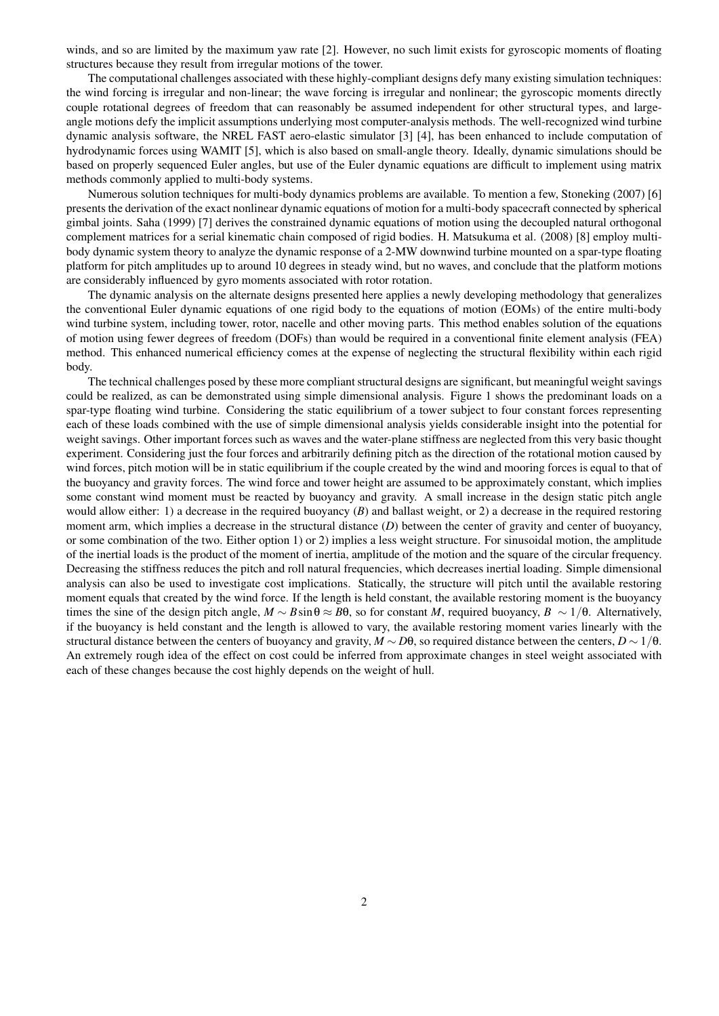winds, and so are limited by the maximum yaw rate [2]. However, no such limit exists for gyroscopic moments of floating structures because they result from irregular motions of the tower.

The computational challenges associated with these highly-compliant designs defy many existing simulation techniques: the wind forcing is irregular and non-linear; the wave forcing is irregular and nonlinear; the gyroscopic moments directly couple rotational degrees of freedom that can reasonably be assumed independent for other structural types, and largeangle motions defy the implicit assumptions underlying most computer-analysis methods. The well-recognized wind turbine dynamic analysis software, the NREL FAST aero-elastic simulator [3] [4], has been enhanced to include computation of hydrodynamic forces using WAMIT [5], which is also based on small-angle theory. Ideally, dynamic simulations should be based on properly sequenced Euler angles, but use of the Euler dynamic equations are difficult to implement using matrix methods commonly applied to multi-body systems.

Numerous solution techniques for multi-body dynamics problems are available. To mention a few, Stoneking (2007) [6] presents the derivation of the exact nonlinear dynamic equations of motion for a multi-body spacecraft connected by spherical gimbal joints. Saha (1999) [7] derives the constrained dynamic equations of motion using the decoupled natural orthogonal complement matrices for a serial kinematic chain composed of rigid bodies. H. Matsukuma et al. (2008) [8] employ multibody dynamic system theory to analyze the dynamic response of a 2-MW downwind turbine mounted on a spar-type floating platform for pitch amplitudes up to around 10 degrees in steady wind, but no waves, and conclude that the platform motions are considerably influenced by gyro moments associated with rotor rotation.

The dynamic analysis on the alternate designs presented here applies a newly developing methodology that generalizes the conventional Euler dynamic equations of one rigid body to the equations of motion (EOMs) of the entire multi-body wind turbine system, including tower, rotor, nacelle and other moving parts. This method enables solution of the equations of motion using fewer degrees of freedom (DOFs) than would be required in a conventional finite element analysis (FEA) method. This enhanced numerical efficiency comes at the expense of neglecting the structural flexibility within each rigid body.

The technical challenges posed by these more compliant structural designs are significant, but meaningful weight savings could be realized, as can be demonstrated using simple dimensional analysis. Figure 1 shows the predominant loads on a spar-type floating wind turbine. Considering the static equilibrium of a tower subject to four constant forces representing each of these loads combined with the use of simple dimensional analysis yields considerable insight into the potential for weight savings. Other important forces such as waves and the water-plane stiffness are neglected from this very basic thought experiment. Considering just the four forces and arbitrarily defining pitch as the direction of the rotational motion caused by wind forces, pitch motion will be in static equilibrium if the couple created by the wind and mooring forces is equal to that of the buoyancy and gravity forces. The wind force and tower height are assumed to be approximately constant, which implies some constant wind moment must be reacted by buoyancy and gravity. A small increase in the design static pitch angle would allow either: 1) a decrease in the required buoyancy (*B*) and ballast weight, or 2) a decrease in the required restoring moment arm, which implies a decrease in the structural distance (*D*) between the center of gravity and center of buoyancy, or some combination of the two. Either option 1) or 2) implies a less weight structure. For sinusoidal motion, the amplitude of the inertial loads is the product of the moment of inertia, amplitude of the motion and the square of the circular frequency. Decreasing the stiffness reduces the pitch and roll natural frequencies, which decreases inertial loading. Simple dimensional analysis can also be used to investigate cost implications. Statically, the structure will pitch until the available restoring moment equals that created by the wind force. If the length is held constant, the available restoring moment is the buoyancy times the sine of the design pitch angle,  $M \sim B \sin \theta \approx B\theta$ , so for constant *M*, required buoyancy,  $B \sim 1/\theta$ . Alternatively, if the buoyancy is held constant and the length is allowed to vary, the available restoring moment varies linearly with the structural distance between the centers of buoyancy and gravity,  $M \sim D\theta$ , so required distance between the centers,  $D \sim 1/\theta$ . An extremely rough idea of the effect on cost could be inferred from approximate changes in steel weight associated with each of these changes because the cost highly depends on the weight of hull.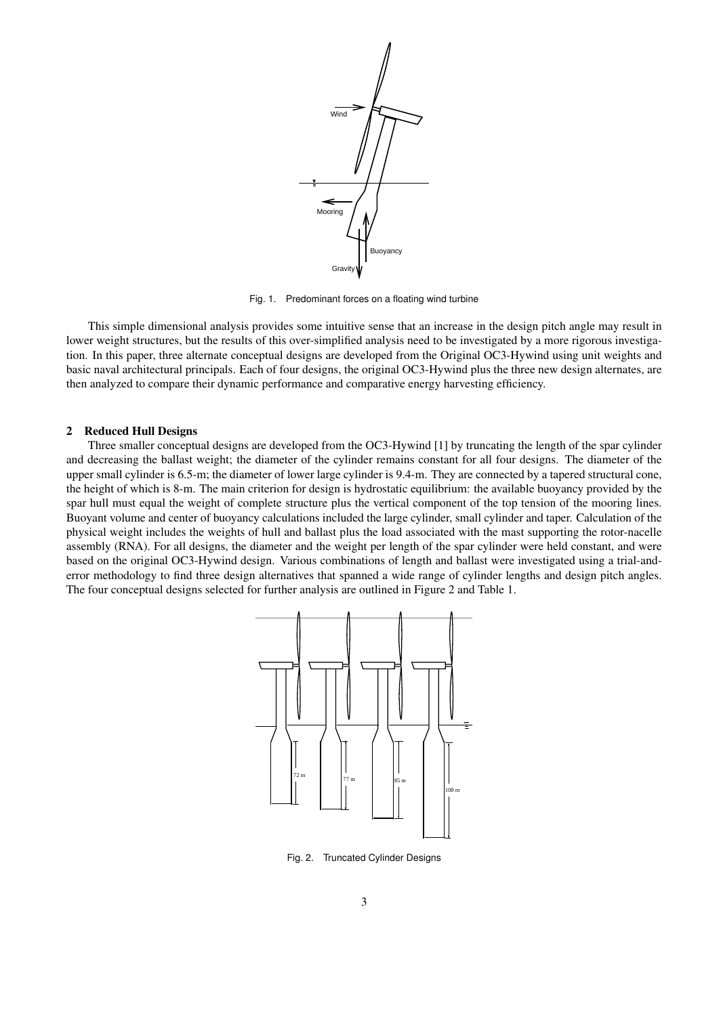

Fig. 1. Predominant forces on a floating wind turbine

This simple dimensional analysis provides some intuitive sense that an increase in the design pitch angle may result in lower weight structures, but the results of this over-simplified analysis need to be investigated by a more rigorous investigation. In this paper, three alternate conceptual designs are developed from the Original OC3-Hywind using unit weights and basic naval architectural principals. Each of four designs, the original OC3-Hywind plus the three new design alternates, are then analyzed to compare their dynamic performance and comparative energy harvesting efficiency.

# 2 Reduced Hull Designs

Three smaller conceptual designs are developed from the OC3-Hywind [1] by truncating the length of the spar cylinder and decreasing the ballast weight; the diameter of the cylinder remains constant for all four designs. The diameter of the upper small cylinder is 6.5-m; the diameter of lower large cylinder is 9.4-m. They are connected by a tapered structural cone, the height of which is 8-m. The main criterion for design is hydrostatic equilibrium: the available buoyancy provided by the spar hull must equal the weight of complete structure plus the vertical component of the top tension of the mooring lines. Buoyant volume and center of buoyancy calculations included the large cylinder, small cylinder and taper. Calculation of the physical weight includes the weights of hull and ballast plus the load associated with the mast supporting the rotor-nacelle assembly (RNA). For all designs, the diameter and the weight per length of the spar cylinder were held constant, and were based on the original OC3-Hywind design. Various combinations of length and ballast were investigated using a trial-anderror methodology to find three design alternatives that spanned a wide range of cylinder lengths and design pitch angles. The four conceptual designs selected for further analysis are outlined in Figure 2 and Table 1.



Fig. 2. Truncated Cylinder Designs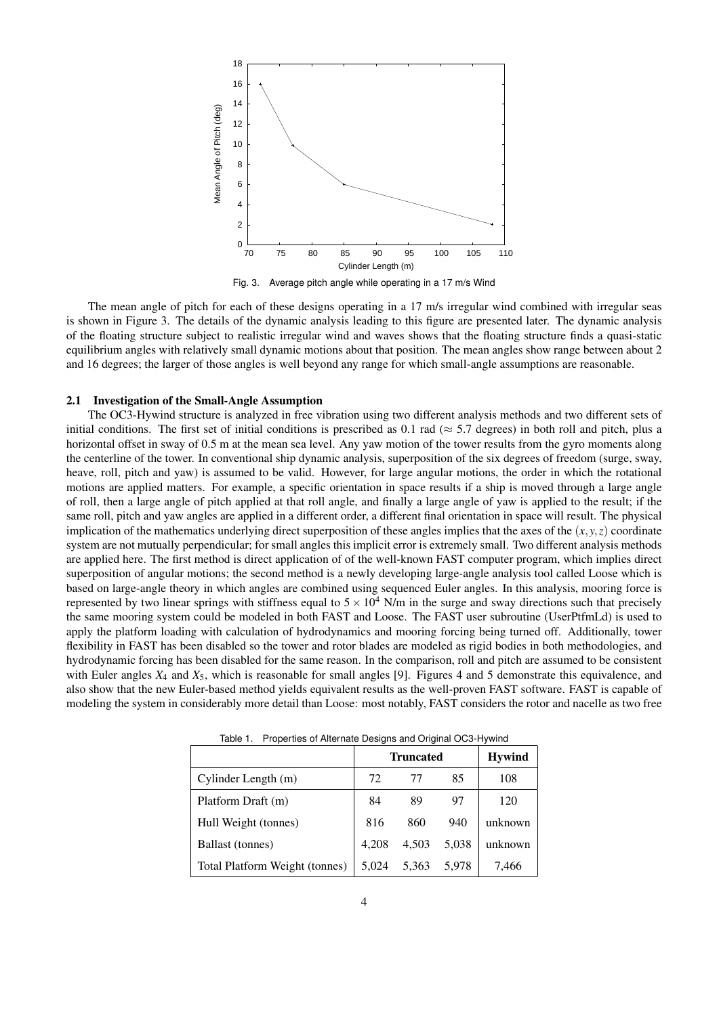

Fig. 3. Average pitch angle while operating in a 17 m/s Wind

The mean angle of pitch for each of these designs operating in a 17 m/s irregular wind combined with irregular seas is shown in Figure 3. The details of the dynamic analysis leading to this figure are presented later. The dynamic analysis of the floating structure subject to realistic irregular wind and waves shows that the floating structure finds a quasi-static equilibrium angles with relatively small dynamic motions about that position. The mean angles show range between about 2 and 16 degrees; the larger of those angles is well beyond any range for which small-angle assumptions are reasonable.

# 2.1 Investigation of the Small-Angle Assumption

The OC3-Hywind structure is analyzed in free vibration using two different analysis methods and two different sets of initial conditions. The first set of initial conditions is prescribed as 0.1 rad (*≈* 5.7 degrees) in both roll and pitch, plus a horizontal offset in sway of 0.5 m at the mean sea level. Any yaw motion of the tower results from the gyro moments along the centerline of the tower. In conventional ship dynamic analysis, superposition of the six degrees of freedom (surge, sway, heave, roll, pitch and yaw) is assumed to be valid. However, for large angular motions, the order in which the rotational motions are applied matters. For example, a specific orientation in space results if a ship is moved through a large angle of roll, then a large angle of pitch applied at that roll angle, and finally a large angle of yaw is applied to the result; if the same roll, pitch and yaw angles are applied in a different order, a different final orientation in space will result. The physical implication of the mathematics underlying direct superposition of these angles implies that the axes of the  $(x, y, z)$  coordinate system are not mutually perpendicular; for small angles this implicit error is extremely small. Two different analysis methods are applied here. The first method is direct application of of the well-known FAST computer program, which implies direct superposition of angular motions; the second method is a newly developing large-angle analysis tool called Loose which is based on large-angle theory in which angles are combined using sequenced Euler angles. In this analysis, mooring force is represented by two linear springs with stiffness equal to  $5 \times 10^4$  N/m in the surge and sway directions such that precisely the same mooring system could be modeled in both FAST and Loose. The FAST user subroutine (UserPtfmLd) is used to apply the platform loading with calculation of hydrodynamics and mooring forcing being turned off. Additionally, tower flexibility in FAST has been disabled so the tower and rotor blades are modeled as rigid bodies in both methodologies, and hydrodynamic forcing has been disabled for the same reason. In the comparison, roll and pitch are assumed to be consistent with Euler angles *X*<sup>4</sup> and *X*5, which is reasonable for small angles [9]. Figures 4 and 5 demonstrate this equivalence, and also show that the new Euler-based method yields equivalent results as the well-proven FAST software. FAST is capable of modeling the system in considerably more detail than Loose: most notably, FAST considers the rotor and nacelle as two free

|                                | <b>Truncated</b> |       |       | <b>Hywind</b> |
|--------------------------------|------------------|-------|-------|---------------|
| Cylinder Length (m)            | 72               | 77    | 85    | 108           |
| Platform Draft (m)             | 84               | 89    | 97    | 120           |
| Hull Weight (tonnes)           | 816              | 860   | 940   | unknown       |
| Ballast (tonnes)               | 4.208            | 4,503 | 5,038 | unknown       |
| Total Platform Weight (tonnes) | 5.024            | 5,363 | 5.978 | 7,466         |

Table 1. Properties of Alternate Designs and Original OC3-Hywind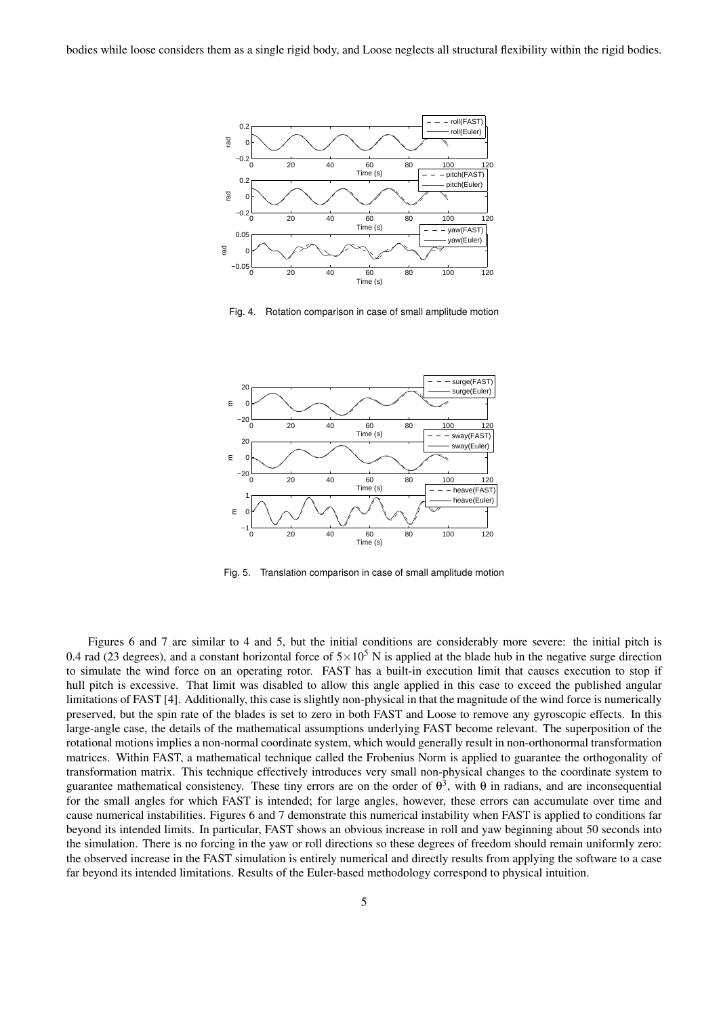

Fig. 4. Rotation comparison in case of small amplitude motion



Fig. 5. Translation comparison in case of small amplitude motion

Figures 6 and 7 are similar to 4 and 5, but the initial conditions are considerably more severe: the initial pitch is 0.4 rad (23 degrees), and a constant horizontal force of  $5\times10^5$  N is applied at the blade hub in the negative surge direction to simulate the wind force on an operating rotor. FAST has a built-in execution limit that causes execution to stop if hull pitch is excessive. That limit was disabled to allow this angle applied in this case to exceed the published angular limitations of FAST [4]. Additionally, this case is slightly non-physical in that the magnitude of the wind force is numerically preserved, but the spin rate of the blades is set to zero in both FAST and Loose to remove any gyroscopic effects. In this large-angle case, the details of the mathematical assumptions underlying FAST become relevant. The superposition of the rotational motions implies a non-normal coordinate system, which would generally result in non-orthonormal transformation matrices. Within FAST, a mathematical technique called the Frobenius Norm is applied to guarantee the orthogonality of transformation matrix. This technique effectively introduces very small non-physical changes to the coordinate system to guarantee mathematical consistency. These tiny errors are on the order of  $\theta^3$ , with  $\theta$  in radians, and are inconsequential for the small angles for which FAST is intended; for large angles, however, these errors can accumulate over time and cause numerical instabilities. Figures 6 and 7 demonstrate this numerical instability when FAST is applied to conditions far beyond its intended limits. In particular, FAST shows an obvious increase in roll and yaw beginning about 50 seconds into the simulation. There is no forcing in the yaw or roll directions so these degrees of freedom should remain uniformly zero: the observed increase in the FAST simulation is entirely numerical and directly results from applying the software to a case far beyond its intended limitations. Results of the Euler-based methodology correspond to physical intuition.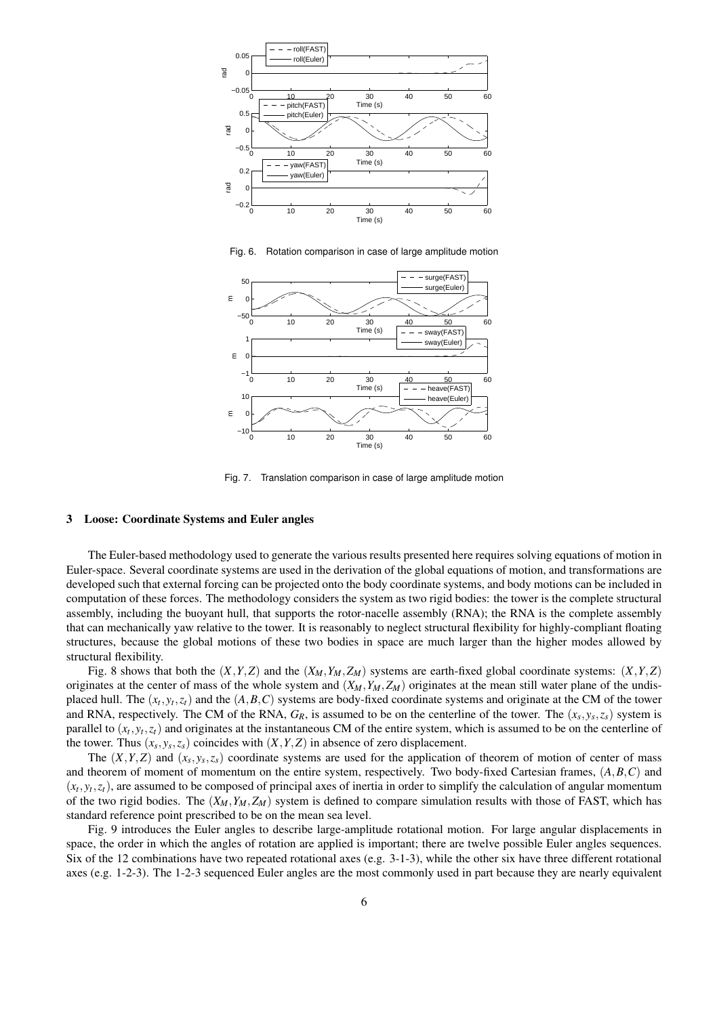

Fig. 6. Rotation comparison in case of large amplitude motion



Fig. 7. Translation comparison in case of large amplitude motion

## 3 Loose: Coordinate Systems and Euler angles

The Euler-based methodology used to generate the various results presented here requires solving equations of motion in Euler-space. Several coordinate systems are used in the derivation of the global equations of motion, and transformations are developed such that external forcing can be projected onto the body coordinate systems, and body motions can be included in computation of these forces. The methodology considers the system as two rigid bodies: the tower is the complete structural assembly, including the buoyant hull, that supports the rotor-nacelle assembly (RNA); the RNA is the complete assembly that can mechanically yaw relative to the tower. It is reasonably to neglect structural flexibility for highly-compliant floating structures, because the global motions of these two bodies in space are much larger than the higher modes allowed by structural flexibility.

Fig. 8 shows that both the  $(X, Y, Z)$  and the  $(X_M, Y_M, Z_M)$  systems are earth-fixed global coordinate systems:  $(X, Y, Z)$ originates at the center of mass of the whole system and  $(X_M, Y_M, Z_M)$  originates at the mean still water plane of the undisplaced hull. The  $(x_t, y_t, z_t)$  and the  $(A, B, C)$  systems are body-fixed coordinate systems and originate at the CM of the tower and RNA, respectively. The CM of the RNA,  $G_R$ , is assumed to be on the centerline of the tower. The  $(x_s, y_s, z_s)$  system is parallel to  $(x_t, y_t, z_t)$  and originates at the instantaneous CM of the entire system, which is assumed to be on the centerline of the tower. Thus  $(x_s, y_s, z_s)$  coincides with  $(X, Y, Z)$  in absence of zero displacement.

The  $(X, Y, Z)$  and  $(x_s, y_s, z_s)$  coordinate systems are used for the application of theorem of motion of center of mass and theorem of moment of momentum on the entire system, respectively. Two body-fixed Cartesian frames, (*A,B,C*) and  $(x_t, y_t, z_t)$ , are assumed to be composed of principal axes of inertia in order to simplify the calculation of angular momentum of the two rigid bodies. The  $(X_M, Y_M, Z_M)$  system is defined to compare simulation results with those of FAST, which has standard reference point prescribed to be on the mean sea level.

Fig. 9 introduces the Euler angles to describe large-amplitude rotational motion. For large angular displacements in space, the order in which the angles of rotation are applied is important; there are twelve possible Euler angles sequences. Six of the 12 combinations have two repeated rotational axes (e.g. 3-1-3), while the other six have three different rotational axes (e.g. 1-2-3). The 1-2-3 sequenced Euler angles are the most commonly used in part because they are nearly equivalent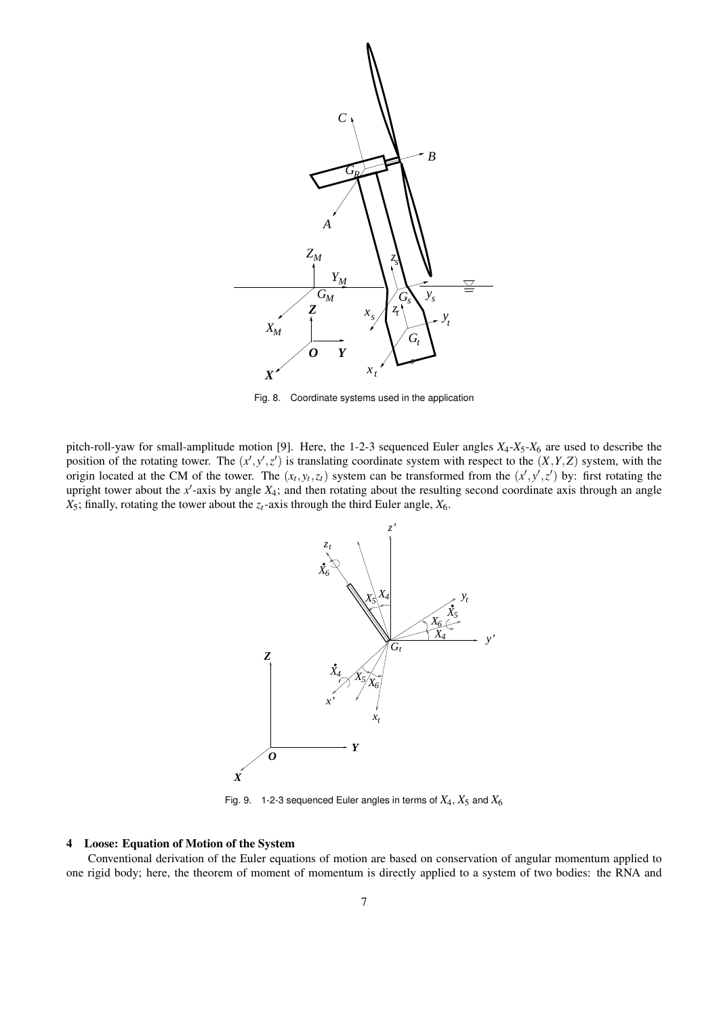

Fig. 8. Coordinate systems used in the application

pitch-roll-yaw for small-amplitude motion [9]. Here, the 1-2-3 sequenced Euler angles  $X_4$ - $X_5$ - $X_6$  are used to describe the position of the rotating tower. The  $(x', y', z')$  is translating coordinate system with respect to the  $(X, Y, Z)$  system, with the origin located at the CM of the tower. The  $(x_t, y_t, z_t)$  system can be transformed from the  $(x', y', z')$  by: first rotating the upright tower about the *x'*-axis by angle  $X_4$ ; and then rotating about the resulting second coordinate axis through an angle  $X_5$ ; finally, rotating the tower about the  $z_t$ -axis through the third Euler angle,  $X_6$ .



Fig. 9. 1-2-3 sequenced Euler angles in terms of  $X_4$ ,  $X_5$  and  $X_6$ 

# 4 Loose: Equation of Motion of the System

Conventional derivation of the Euler equations of motion are based on conservation of angular momentum applied to one rigid body; here, the theorem of moment of momentum is directly applied to a system of two bodies: the RNA and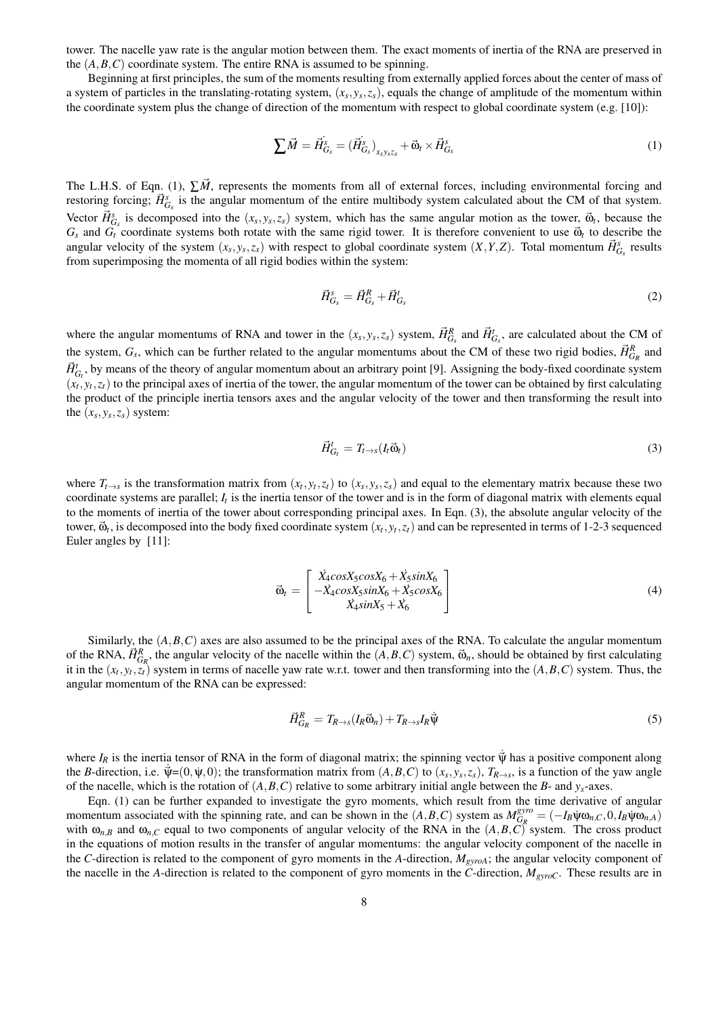tower. The nacelle yaw rate is the angular motion between them. The exact moments of inertia of the RNA are preserved in the  $(A, B, C)$  coordinate system. The entire RNA is assumed to be spinning.

Beginning at first principles, the sum of the moments resulting from externally applied forces about the center of mass of a system of particles in the translating-rotating system,  $(x_s, y_s, z_s)$ , equals the change of amplitude of the momentum within the coordinate system plus the change of direction of the momentum with respect to global coordinate system (e.g. [10]):

$$
\sum \vec{M} = \vec{H}_{G_s}^s = (\vec{H}_{G_s}^s)_{x_s y_s z_s} + \vec{\omega}_t \times \vec{H}_{G_s}^s
$$
\n<sup>(1)</sup>

The L.H.S. of Eqn. (1),  $\sum \vec{M}$ , represents the moments from all of external forces, including environmental forcing and restoring forcing;  $\vec{H}_{G_s}^s$  is the angular momentum of the entire multibody system calculated about the CM of that system. Vector  $\vec{H}_{G_s}^s$  is decomposed into the  $(x_s, y_s, z_s)$  system, which has the same angular motion as the tower,  $\vec{\omega}_t$ , because the  $G_s$  and  $G_t$  coordinate systems both rotate with the same rigid tower. It is therefore convenient to use  $\vec{\omega}_t$  to describe the angular velocity of the system  $(x_s, y_s, z_s)$  with respect to global coordinate system  $(X, Y, Z)$ . Total momentum  $\vec{H}_{G_s}^s$  results from superimposing the momenta of all rigid bodies within the system:

$$
\vec{H}_{G_s}^s = \vec{H}_{G_s}^R + \vec{H}_{G_s}^t \tag{2}
$$

where the angular momentums of RNA and tower in the  $(x_s, y_s, z_s)$  system,  $\vec{H}_{G_s}^R$  and  $\vec{H}_{G_s}^t$ , are calculated about the CM of the system,  $G_s$ , which can be further related to the angular momentums about the CM of these two rigid bodies,  $\vec{H}_{G_R}^R$  and  $\vec{H}^t_{G_t}$ , by means of the theory of angular momentum about an arbitrary point [9]. Assigning the body-fixed coordinate system  $(x_t, y_t, z_t)$  to the principal axes of inertia of the tower, the angular momentum of the tower can be obtained by first calculating the product of the principle inertia tensors axes and the angular velocity of the tower and then transforming the result into the  $(x_s, y_s, z_s)$  system:

$$
\vec{H}_{G_t}^t = T_{t \to s}(I_t \vec{\omega}_t) \tag{3}
$$

where  $T_{t\to s}$  is the transformation matrix from  $(x_t, y_t, z_t)$  to  $(x_s, y_s, z_s)$  and equal to the elementary matrix because these two coordinate systems are parallel; *I<sup>t</sup>* is the inertia tensor of the tower and is in the form of diagonal matrix with elements equal to the moments of inertia of the tower about corresponding principal axes. In Eqn. (3), the absolute angular velocity of the tower,  $\vec{\omega}_t$ , is decomposed into the body fixed coordinate system  $(x_t, y_t, z_t)$  and can be represented in terms of 1-2-3 sequenced Euler angles by [11]:

$$
\vec{\omega}_t = \begin{bmatrix} \vec{X}_4 \cos X_5 \cos X_6 + \vec{X}_5 \sin X_6 \\ -\vec{X}_4 \cos X_5 \sin X_6 + \vec{X}_5 \cos X_6 \\ \vec{X}_4 \sin X_5 + \vec{X}_6 \end{bmatrix}
$$
(4)

Similarly, the  $(A, B, C)$  axes are also assumed to be the principal axes of the RNA. To calculate the angular momentum of the RNA,  $\vec{H}_{G_R}^R$ , the angular velocity of the nacelle within the  $(A, B, C)$  system,  $\vec{\omega}_n$ , should be obtained by first calculating it in the  $(x_t, y_t, z_t)$  system in terms of nacelle yaw rate w.r.t. tower and then transforming into the  $(A, B, C)$  system. Thus, the angular momentum of the RNA can be expressed:

$$
\vec{H}_{G_R}^R = T_{R \to s}(I_R \vec{\omega}_n) + T_{R \to s} I_R \dot{\vec{\psi}} \tag{5}
$$

where  $I_R$  is the inertia tensor of RNA in the form of diagonal matrix; the spinning vector  $\dot{\vec{\mathsf{V}}}$  has a positive component along the *B*-direction, i.e.  $\vec{\Psi} = (0, \psi, 0)$ ; the transformation matrix from  $(A, B, C)$  to  $(x_s, y_s, z_s)$ ,  $T_{R\rightarrow s}$ , is a function of the yaw angle of the nacelle, which is the rotation of (*A,B,C*) relative to some arbitrary initial angle between the *B*- and *ys*-axes.

Eqn. (1) can be further expanded to investigate the gyro moments, which result from the time derivative of angular momentum associated with the spinning rate, and can be shown in the  $(A, B, C)$  system as  $M_{G_R}^{gyro}$  $\frac{G_R}{G_R} = (-I_B \psi \omega_{n,C}, 0, I_B \psi \omega_{n,A})$ with  $\omega_{n,B}$  and  $\omega_{n,C}$  equal to two components of angular velocity of the RNA in the  $(A,B,C)$  system. The cross product in the equations of motion results in the transfer of angular momentums: the angular velocity component of the nacelle in the *C*-direction is related to the component of gyro moments in the *A*-direction, *MgyroA*; the angular velocity component of the nacelle in the *A*-direction is related to the component of gyro moments in the *C*-direction, *MgyroC*. These results are in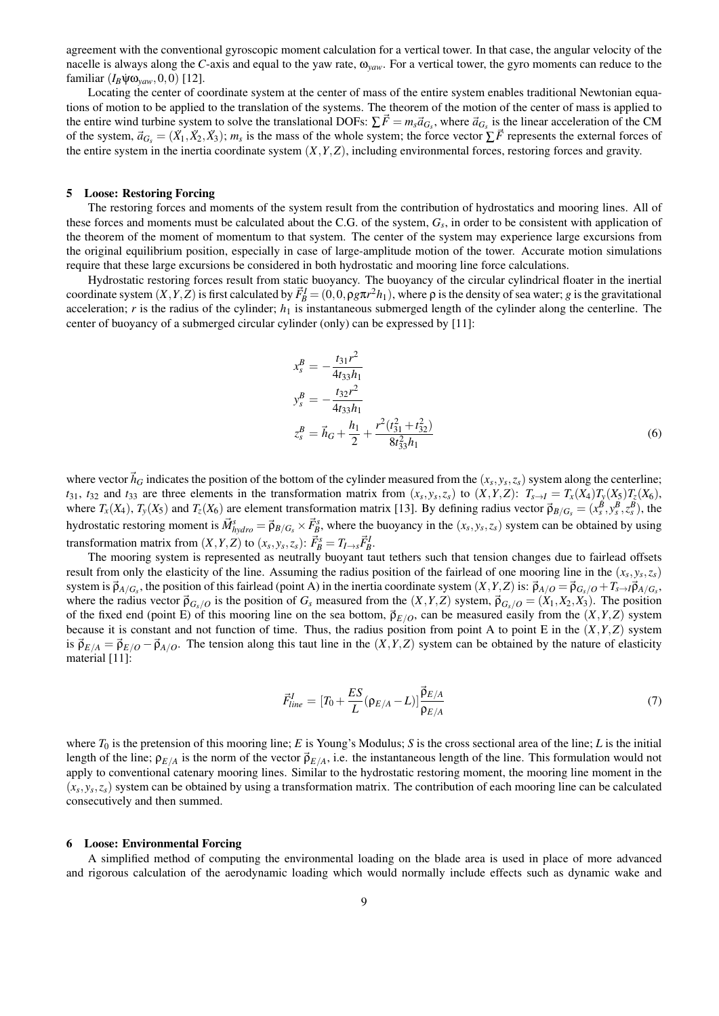agreement with the conventional gyroscopic moment calculation for a vertical tower. In that case, the angular velocity of the nacelle is always along the *C*-axis and equal to the yaw rate,  $\omega_{\rm vaw}$ . For a vertical tower, the gyro moments can reduce to the  $familiar$   $(I_B\Psi\omega_{\text{vaw}},0,0)$  [12].

Locating the center of coordinate system at the center of mass of the entire system enables traditional Newtonian equations of motion to be applied to the translation of the systems. The theorem of the motion of the center of mass is applied to the entire wind turbine system to solve the translational DOFs:  $\sum \vec{F} = m_s \vec{a}_{G_s}$ , where  $\vec{a}_{G_s}$  is the linear acceleration of the CM of the system,  $\vec{a}_{G_s} = (\ddot{X}_1, \ddot{X}_2, \ddot{X}_3)$ ;  $m_s$  is the mass of the whole system; the force vector  $\sum \vec{F}$  represents the external forces of the entire system in the inertia coordinate system (*X,Y,Z*), including environmental forces, restoring forces and gravity.

# 5 Loose: Restoring Forcing

The restoring forces and moments of the system result from the contribution of hydrostatics and mooring lines. All of these forces and moments must be calculated about the C.G. of the system, *G<sup>s</sup>* , in order to be consistent with application of the theorem of the moment of momentum to that system. The center of the system may experience large excursions from the original equilibrium position, especially in case of large-amplitude motion of the tower. Accurate motion simulations require that these large excursions be considered in both hydrostatic and mooring line force calculations.

Hydrostatic restoring forces result from static buoyancy. The buoyancy of the circular cylindrical floater in the inertial coordinate system  $(X, Y, Z)$  is first calculated by  $\vec{F}_B^I = (0, 0, \rho g \pi r^2 h_1)$ , where  $\rho$  is the density of sea water; g is the gravitational acceleration; *r* is the radius of the cylinder; *h*<sub>1</sub> is instantaneous submerged length of the cylinder along the centerline. The center of buoyancy of a submerged circular cylinder (only) can be expressed by [11]:

$$
x_s^B = -\frac{t_{31}r^2}{4t_{33}h_1}
$$
  
\n
$$
y_s^B = -\frac{t_{32}r^2}{4t_{33}h_1}
$$
  
\n
$$
z_s^B = \vec{h}_G + \frac{h_1}{2} + \frac{r^2(t_{31}^2 + t_{32}^2)}{8t_{33}^2h_1}
$$
\n(6)

where vector  $\vec{h}_G$  indicates the position of the bottom of the cylinder measured from the  $(x_s, y_s, z_s)$  system along the centerline;  $t_{31}$ ,  $t_{32}$  and  $t_{33}$  are three elements in the transformation matrix from  $(x_s, y_s, z_s)$  to  $(X, Y, Z)$ :  $T_{s \to I} = T_x(X_4)T_y(X_5)T_z(X_6)$ , where  $T_x(X_4)$ ,  $T_y(X_5)$  and  $T_z(X_6)$  are element transformation matrix [13]. By defining radius vector  $\vec{\rho}_{B/G_s} = (x_s^{\vec{B}}, y_s^B, z_s^B)$ , the hydrostatic restoring moment is  $\vec{M}_{hydro}^s = \vec{p}_{B/G_s} \times \vec{F}_B^s$ , where the buoyancy in the  $(x_s, y_s, z_s)$  system can be obtained by using transformation matrix from  $(X, Y, Z)$  to  $(x_s, y_s, z_s)$ :  $\vec{F}_B^s = T_{I \rightarrow s} \vec{F}_B^I$ .

The mooring system is represented as neutrally buoyant taut tethers such that tension changes due to fairlead offsets result from only the elasticity of the line. Assuming the radius position of the fairlead of one mooring line in the (*x<sup>s</sup> ,y<sup>s</sup> ,zs*) system is  $\vec{p}_{A/G_s}$ , the position of this fairlead (point A) in the inertia coordinate system  $(X, Y, Z)$  is:  $\vec{p}_{A/O} = \vec{p}_{G_s/O} + T_{s \to I} \vec{p}_{A/G_s}$ where the radius vector  $\vec{p}_{G_s/O}$  is the position of  $G_s$  measured from the  $(X, Y, Z)$  system,  $\vec{p}_{G_s/O} = (X_1, X_2, X_3)$ . The position of the fixed end (point E) of this mooring line on the sea bottom,  $\vec{p}_{E/O}$ , can be measured easily from the  $(X, Y, Z)$  system because it is constant and not function of time. Thus, the radius position from point A to point E in the  $(X, Y, Z)$  system is  $\vec{\rho}_{E/A} = \vec{\rho}_{E/O} - \vec{\rho}_{A/O}$ . The tension along this taut line in the  $(X, Y, Z)$  system can be obtained by the nature of elasticity material [11]:

$$
\vec{F}_{line}^{I} = [T_0 + \frac{ES}{L}(\rho_{E/A} - L)] \frac{\vec{\rho}_{E/A}}{\rho_{E/A}}
$$
(7)

where *T*<sup>0</sup> is the pretension of this mooring line; *E* is Young's Modulus; *S* is the cross sectional area of the line; *L* is the initial length of the line;  $\rho_{E/A}$  is the norm of the vector  $\vec{\rho}_{E/A}$ , i.e. the instantaneous length of the line. This formulation would not apply to conventional catenary mooring lines. Similar to the hydrostatic restoring moment, the mooring line moment in the  $(x_s, y_s, z_s)$  system can be obtained by using a transformation matrix. The contribution of each mooring line can be calculated consecutively and then summed.

#### 6 Loose: Environmental Forcing

A simplified method of computing the environmental loading on the blade area is used in place of more advanced and rigorous calculation of the aerodynamic loading which would normally include effects such as dynamic wake and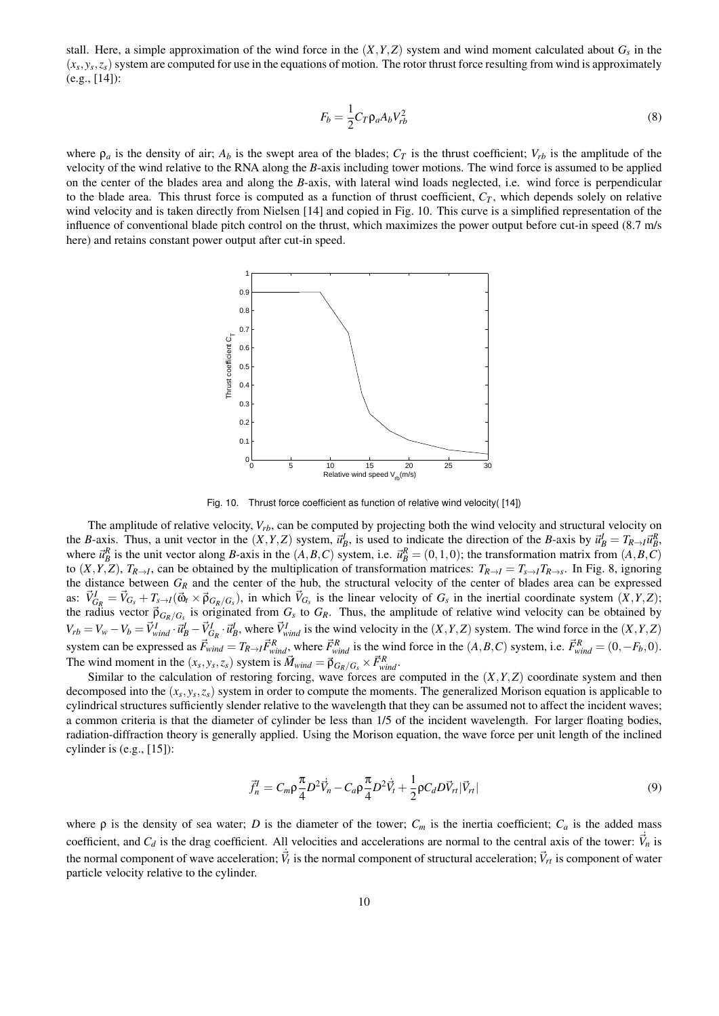stall. Here, a simple approximation of the wind force in the  $(X, Y, Z)$  system and wind moment calculated about  $G_s$  in the  $(x_s, y_s, z_s)$  system are computed for use in the equations of motion. The rotor thrust force resulting from wind is approximately (e.g., [14]):

$$
F_b = \frac{1}{2} C_T \rho_a A_b V_{rb}^2 \tag{8}
$$

where  $\rho_a$  is the density of air;  $A_b$  is the swept area of the blades;  $C_T$  is the thrust coefficient;  $V_{rb}$  is the amplitude of the velocity of the wind relative to the RNA along the *B*-axis including tower motions. The wind force is assumed to be applied on the center of the blades area and along the *B*-axis, with lateral wind loads neglected, i.e. wind force is perpendicular to the blade area. This thrust force is computed as a function of thrust coefficient,  $C_T$ , which depends solely on relative wind velocity and is taken directly from Nielsen [14] and copied in Fig. 10. This curve is a simplified representation of the influence of conventional blade pitch control on the thrust, which maximizes the power output before cut-in speed (8.7 m/s here) and retains constant power output after cut-in speed.



Fig. 10. Thrust force coefficient as function of relative wind velocity( [14])

The amplitude of relative velocity, *Vrb*, can be computed by projecting both the wind velocity and structural velocity on the B-axis. Thus, a unit vector in the  $(X, Y, Z)$  system,  $\vec{u}_B^l$ , is used to indicate the direction of the B-axis by  $\vec{u}_B^l = T_{R \to l} \vec{u}_B^R$ , where  $\vec{u}_B^R$  is the unit vector along B-axis in the  $(A, B, C)$  system, i.e.  $\vec{u}_B^R = (0, 1, 0)$ ; the transformation matrix from  $(A, B, C)$ to  $(X, Y, Z)$ ,  $T_{R\rightarrow I}$ , can be obtained by the multiplication of transformation matrices:  $T_{R\rightarrow I} = T_{s\rightarrow I}T_{R\rightarrow s}$ . In Fig. 8, ignoring the distance between *G<sup>R</sup>* and the center of the hub, the structural velocity of the center of blades area can be expressed as:  $\vec{V}_{G_R}^I = \vec{V}_{G_s} + T_{s \to I}(\vec{\omega}_t \times \vec{p}_{G_R/G_s})$ , in which  $\vec{V}_{G_s}$  is the linear velocity of  $G_s$  in the inertial coordinate system  $(X, Y, Z)$ ; the radius vector  $\vec{p}_{G_R/G_s}$  is originated from  $G_s$  to  $G_R$ . Thus, the amplitude of relative wind velocity can be obtained by  $V_{rb} = V_w - V_b = \vec{V}_{wind}^I \cdot \vec{u}_B^I - \vec{V}_{G_R}^I \cdot \vec{u}_B^I$ , where  $\vec{V}_{wind}^I$  is the wind velocity in the  $(X, Y, Z)$  system. The wind force in the  $(X, Y, Z)$ system can be expressed as  $\vec{F}_{wind} = T_{R\rightarrow I} \vec{F}_{wind}^R$ , where  $\vec{F}_{wind}^R$  is the wind force in the  $(A, B, C)$  system, i.e.  $\vec{F}_{wind}^R = (0, -F_b, 0)$ . The wind moment in the  $(x_s, y_s, z_s)$  system is  $\vec{M}_{wind} = \vec{p}_{G_R/G_s} \times \vec{F}_{wind}^R$ .

Similar to the calculation of restoring forcing, wave forces are computed in the (*X,Y,Z*) coordinate system and then decomposed into the (*x<sup>s</sup> ,y<sup>s</sup> ,zs*) system in order to compute the moments. The generalized Morison equation is applicable to cylindrical structures sufficiently slender relative to the wavelength that they can be assumed not to affect the incident waves; a common criteria is that the diameter of cylinder be less than 1/5 of the incident wavelength. For larger floating bodies, radiation-diffraction theory is generally applied. Using the Morison equation, the wave force per unit length of the inclined cylinder is (e.g., [15]):

$$
\vec{f}_n^I = C_m \rho \frac{\pi}{4} D^2 \vec{V}_n - C_a \rho \frac{\pi}{4} D^2 \dot{\vec{V}}_t + \frac{1}{2} \rho C_d D \vec{V}_n |\vec{V}_n|
$$
\n(9)

where  $\rho$  is the density of sea water; *D* is the diameter of the tower;  $C_m$  is the inertia coefficient;  $C_a$  is the added mass coefficient, and  $C_d$  is the drag coefficient. All velocities and accelerations are normal to the central axis of the tower:  $\vec{V}_n$  is the normal component of wave acceleration;  $\vec{V}_t$  is the normal component of structural acceleration;  $\vec{V}_{rt}$  is component of water particle velocity relative to the cylinder.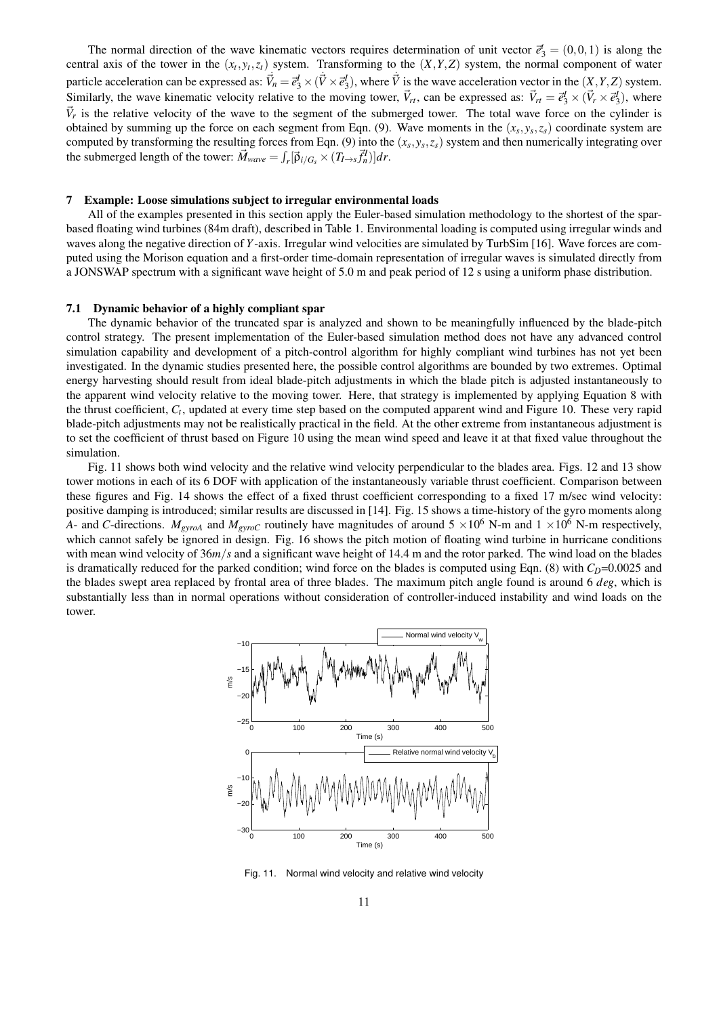The normal direction of the wave kinematic vectors requires determination of unit vector  $\vec{e}_3^t = (0,0,1)$  is along the central axis of the tower in the  $(x_t, y_t, z_t)$  system. Transforming to the  $(X, Y, Z)$  system, the normal component of water particle acceleration can be expressed as:  $\vec{V}_n = \vec{e}_3^I \times (\vec{V} \times \vec{e}_3^I)$ , where  $\vec{V}$  is the wave acceleration vector in the  $(\vec{X}, Y, Z)$  system. Similarly, the wave kinematic velocity relative to the moving tower,  $\vec{V}_{rt}$ , can be expressed as:  $\vec{V}_{rt} = \vec{e}_3^l \times (\vec{V}_r \times \vec{e}_3^l)$ , where  $\vec{V}_r$  is the relative velocity of the wave to the segment of the submerged tower. The total wave force on the cylinder is obtained by summing up the force on each segment from Eqn. (9). Wave moments in the  $(x_s, y_s, z_s)$  coordinate system are computed by transforming the resulting forces from Eqn. (9) into the  $(x_s, y_s, z_s)$  system and then numerically integrating over the submerged length of the tower:  $\vec{M}_{wave} = \int_r [\vec{\rho}_{i/G_s} \times (T_{I \to s} \vec{f}_n^I)] dr$ .

## 7 Example: Loose simulations subject to irregular environmental loads

All of the examples presented in this section apply the Euler-based simulation methodology to the shortest of the sparbased floating wind turbines (84m draft), described in Table 1. Environmental loading is computed using irregular winds and waves along the negative direction of *Y*-axis. Irregular wind velocities are simulated by TurbSim [16]. Wave forces are computed using the Morison equation and a first-order time-domain representation of irregular waves is simulated directly from a JONSWAP spectrum with a significant wave height of 5.0 m and peak period of 12 s using a uniform phase distribution.

# 7.1 Dynamic behavior of a highly compliant spar

The dynamic behavior of the truncated spar is analyzed and shown to be meaningfully influenced by the blade-pitch control strategy. The present implementation of the Euler-based simulation method does not have any advanced control simulation capability and development of a pitch-control algorithm for highly compliant wind turbines has not yet been investigated. In the dynamic studies presented here, the possible control algorithms are bounded by two extremes. Optimal energy harvesting should result from ideal blade-pitch adjustments in which the blade pitch is adjusted instantaneously to the apparent wind velocity relative to the moving tower. Here, that strategy is implemented by applying Equation 8 with the thrust coefficient, *C<sup>t</sup>* , updated at every time step based on the computed apparent wind and Figure 10. These very rapid blade-pitch adjustments may not be realistically practical in the field. At the other extreme from instantaneous adjustment is to set the coefficient of thrust based on Figure 10 using the mean wind speed and leave it at that fixed value throughout the simulation.

Fig. 11 shows both wind velocity and the relative wind velocity perpendicular to the blades area. Figs. 12 and 13 show tower motions in each of its 6 DOF with application of the instantaneously variable thrust coefficient. Comparison between these figures and Fig. 14 shows the effect of a fixed thrust coefficient corresponding to a fixed 17 m/sec wind velocity: positive damping is introduced; similar results are discussed in [14]. Fig. 15 shows a time-history of the gyro moments along *A*- and *C*-directions. *M*<sub>*gyroA*</sub> and *M*<sub>*gyroC*</sub> routinely have magnitudes of around 5  $\times 10^6$  N-m and 1  $\times 10^6$  N-m respectively, which cannot safely be ignored in design. Fig. 16 shows the pitch motion of floating wind turbine in hurricane conditions with mean wind velocity of  $36m/s$  and a significant wave height of 14.4 m and the rotor parked. The wind load on the blades is dramatically reduced for the parked condition; wind force on the blades is computed using Eqn. (8) with  $C<sub>D</sub>=0.0025$  and the blades swept area replaced by frontal area of three blades. The maximum pitch angle found is around 6 *deg*, which is substantially less than in normal operations without consideration of controller-induced instability and wind loads on the tower.



Fig. 11. Normal wind velocity and relative wind velocity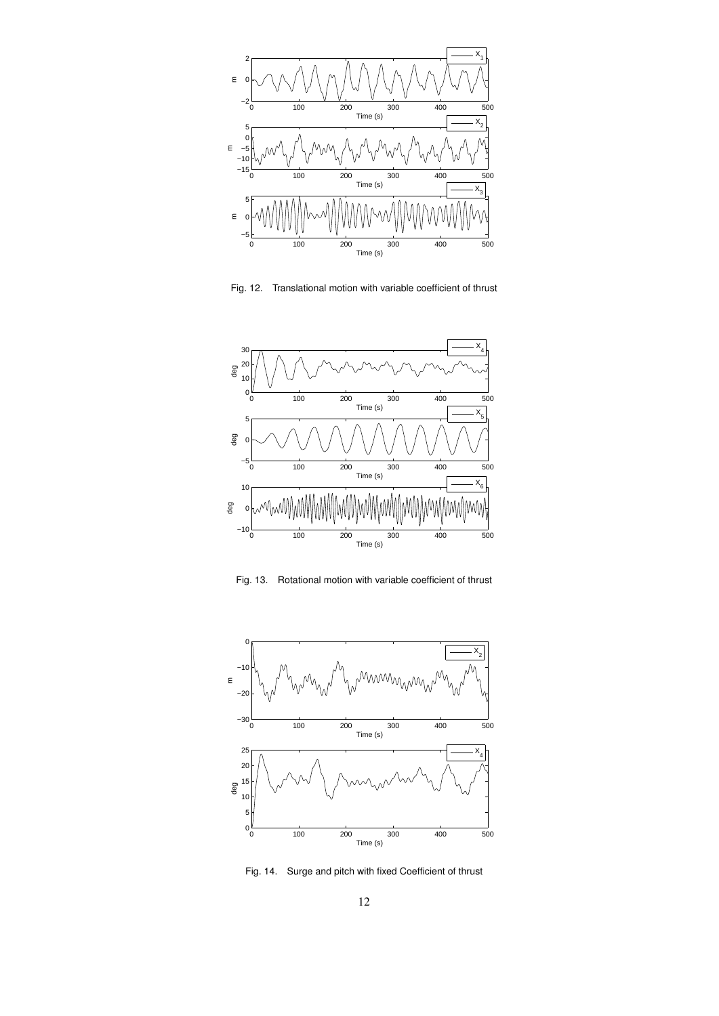

Fig. 12. Translational motion with variable coefficient of thrust



Fig. 13. Rotational motion with variable coefficient of thrust



Fig. 14. Surge and pitch with fixed Coefficient of thrust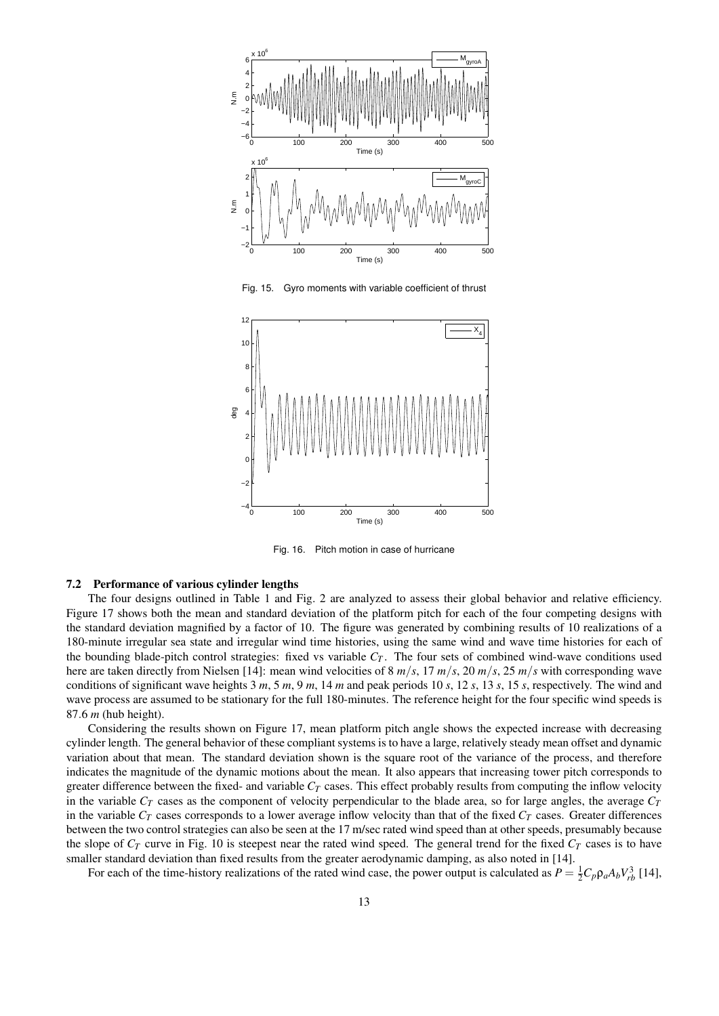

Fig. 15. Gyro moments with variable coefficient of thrust



Fig. 16. Pitch motion in case of hurricane

#### 7.2 Performance of various cylinder lengths

The four designs outlined in Table 1 and Fig. 2 are analyzed to assess their global behavior and relative efficiency. Figure 17 shows both the mean and standard deviation of the platform pitch for each of the four competing designs with the standard deviation magnified by a factor of 10. The figure was generated by combining results of 10 realizations of a 180-minute irregular sea state and irregular wind time histories, using the same wind and wave time histories for each of the bounding blade-pitch control strategies: fixed vs variable  $C_T$ . The four sets of combined wind-wave conditions used here are taken directly from Nielsen [14]: mean wind velocities of 8  $m/s$ , 17  $m/s$ , 20  $m/s$ , 25  $m/s$  with corresponding wave conditions of significant wave heights 3 *m*, 5 *m*, 9 *m*, 14 *m* and peak periods 10 *s*, 12 *s*, 13 *s*, 15 *s*, respectively. The wind and wave process are assumed to be stationary for the full 180-minutes. The reference height for the four specific wind speeds is 87*.*6 *m* (hub height).

Considering the results shown on Figure 17, mean platform pitch angle shows the expected increase with decreasing cylinder length. The general behavior of these compliant systems is to have a large, relatively steady mean offset and dynamic variation about that mean. The standard deviation shown is the square root of the variance of the process, and therefore indicates the magnitude of the dynamic motions about the mean. It also appears that increasing tower pitch corresponds to greater difference between the fixed- and variable *C<sup>T</sup>* cases. This effect probably results from computing the inflow velocity in the variable  $C_T$  cases as the component of velocity perpendicular to the blade area, so for large angles, the average  $C_T$ in the variable  $C_T$  cases corresponds to a lower average inflow velocity than that of the fixed  $C_T$  cases. Greater differences between the two control strategies can also be seen at the 17 m/sec rated wind speed than at other speeds, presumably because the slope of  $C_T$  curve in Fig. 10 is steepest near the rated wind speed. The general trend for the fixed  $C_T$  cases is to have smaller standard deviation than fixed results from the greater aerodynamic damping, as also noted in [14].

For each of the time-history realizations of the rated wind case, the power output is calculated as  $P = \frac{1}{2}C_p \rho_a A_b V_{rb}^3$  [14],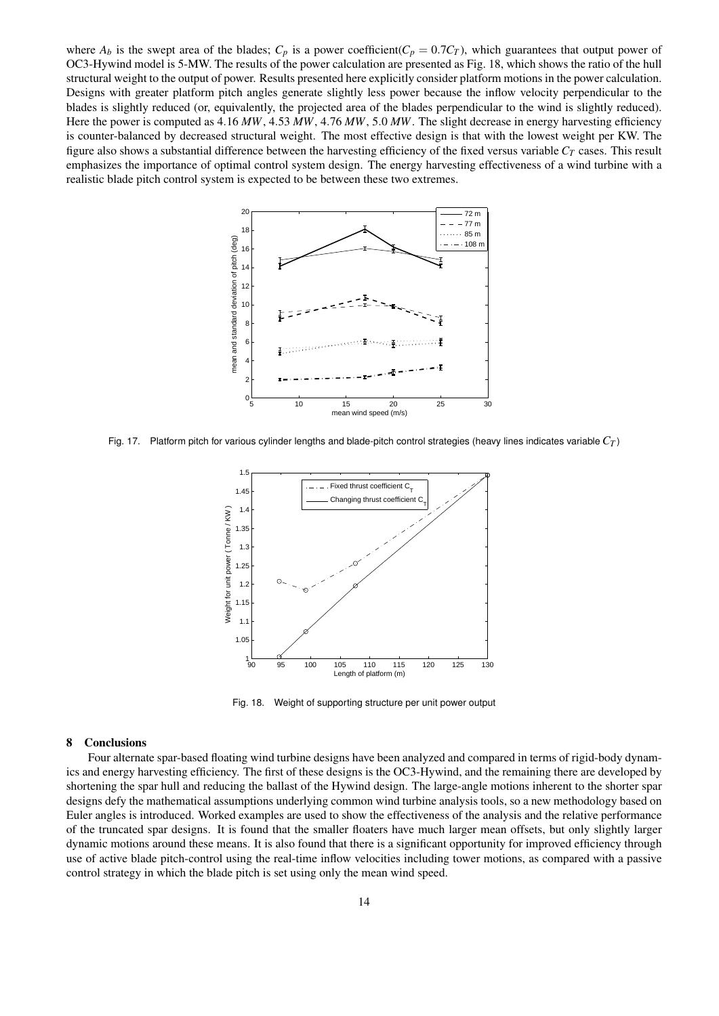where  $A_b$  is the swept area of the blades;  $C_p$  is a power coefficient( $C_p = 0.7C_T$ ), which guarantees that output power of OC3-Hywind model is 5-MW. The results of the power calculation are presented as Fig. 18, which shows the ratio of the hull structural weight to the output of power. Results presented here explicitly consider platform motions in the power calculation. Designs with greater platform pitch angles generate slightly less power because the inflow velocity perpendicular to the blades is slightly reduced (or, equivalently, the projected area of the blades perpendicular to the wind is slightly reduced). Here the power is computed as 4*.*16 *MW*, 4*.*53 *MW*, 4*.*76 *MW*, 5*.*0 *MW*. The slight decrease in energy harvesting efficiency is counter-balanced by decreased structural weight. The most effective design is that with the lowest weight per KW. The figure also shows a substantial difference between the harvesting efficiency of the fixed versus variable *C<sup>T</sup>* cases. This result emphasizes the importance of optimal control system design. The energy harvesting effectiveness of a wind turbine with a realistic blade pitch control system is expected to be between these two extremes.



Fig. 17. Platform pitch for various cylinder lengths and blade-pitch control strategies (heavy lines indicates variable *C<sup>T</sup>* )



Fig. 18. Weight of supporting structure per unit power output

# 8 Conclusions

Four alternate spar-based floating wind turbine designs have been analyzed and compared in terms of rigid-body dynamics and energy harvesting efficiency. The first of these designs is the OC3-Hywind, and the remaining there are developed by shortening the spar hull and reducing the ballast of the Hywind design. The large-angle motions inherent to the shorter spar designs defy the mathematical assumptions underlying common wind turbine analysis tools, so a new methodology based on Euler angles is introduced. Worked examples are used to show the effectiveness of the analysis and the relative performance of the truncated spar designs. It is found that the smaller floaters have much larger mean offsets, but only slightly larger dynamic motions around these means. It is also found that there is a significant opportunity for improved efficiency through use of active blade pitch-control using the real-time inflow velocities including tower motions, as compared with a passive control strategy in which the blade pitch is set using only the mean wind speed.